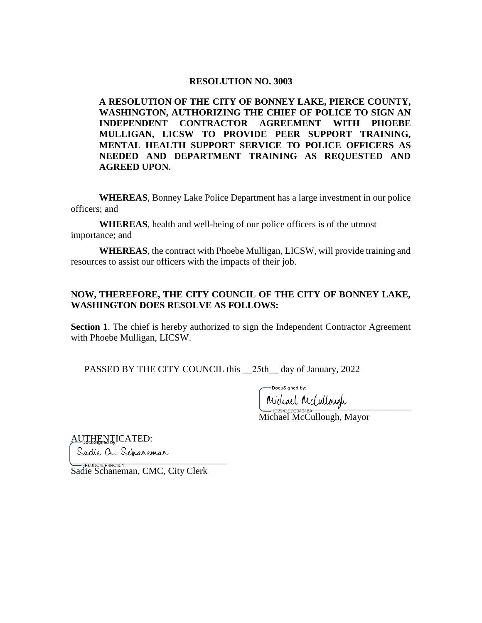#### **RESOLUTION NO. 3003**

**A RESOLUTION OF THE CITY OF BONNEY LAKE, PIERCE COUNTY, WASHINGTON, AUTHORIZING THE CHIEF OF POLICE TO SIGN AN INDEPENDENT CONTRACTOR AGREEMENT WITH PHOEBE MULLIGAN, LICSW TO PROVIDE PEER SUPPORT TRAINING, MENTAL HEALTH SUPPORT SERVICE TO POLICE OFFICERS AS NEEDED AND DEPARTMENT TRAINING AS REQUESTED AND AGREED UPON.** 

**WHEREAS**, Bonney Lake Police Department has a large investment in our police officers; and

**WHEREAS**, health and well-being of our police officers is of the utmost importance; and

**WHEREAS**, the contract with Phoebe Mulligan, LICSW, will provide training and resources to assist our officers with the impacts of their job.

### **NOW, THEREFORE, THE CITY COUNCIL OF THE CITY OF BONNEY LAKE, WASHINGTON DOES RESOLVE AS FOLLOWS:**

**Section 1.** The chief is hereby authorized to sign the Independent Contractor Agreement with Phoebe Mulligan, LICSW.

PASSED BY THE CITY COUNCIL this 25th day of January, 2022

DocuSianed by:

\_\_\_\_\_\_\_\_\_\_\_\_\_\_\_\_\_\_\_\_\_\_\_\_\_\_\_\_\_\_\_\_ Michael McCullough, Mayor

AUTHENTICATED: Sadie a. Schaneman  $\overbrace{\phantom{aaaaa}}^{*}$ 

Sadie Schaneman, CMC, City Clerk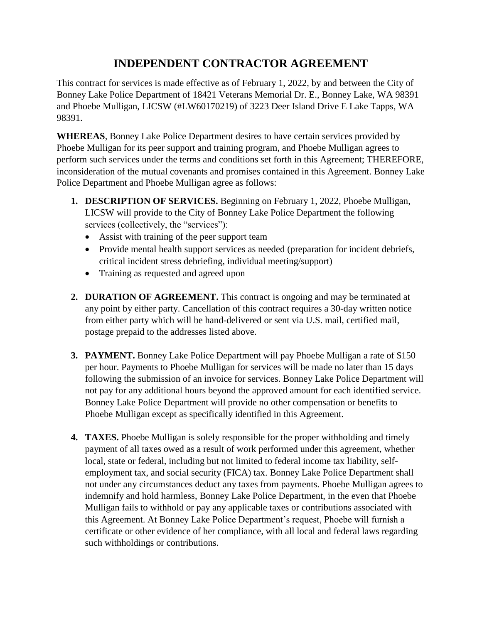# **INDEPENDENT CONTRACTOR AGREEMENT**

This contract for services is made effective as of February 1, 2022, by and between the City of Bonney Lake Police Department of 18421 Veterans Memorial Dr. E., Bonney Lake, WA 98391 and Phoebe Mulligan, LICSW (#LW60170219) of 3223 Deer Island Drive E Lake Tapps, WA 98391.

**WHEREAS**, Bonney Lake Police Department desires to have certain services provided by Phoebe Mulligan for its peer support and training program, and Phoebe Mulligan agrees to perform such services under the terms and conditions set forth in this Agreement; THEREFORE, inconsideration of the mutual covenants and promises contained in this Agreement. Bonney Lake Police Department and Phoebe Mulligan agree as follows:

- **1. DESCRIPTION OF SERVICES.** Beginning on February 1, 2022, Phoebe Mulligan, LICSW will provide to the City of Bonney Lake Police Department the following services (collectively, the "services"):
	- Assist with training of the peer support team
	- Provide mental health support services as needed (preparation for incident debriefs, critical incident stress debriefing, individual meeting/support)
	- Training as requested and agreed upon
- **2. DURATION OF AGREEMENT.** This contract is ongoing and may be terminated at any point by either party. Cancellation of this contract requires a 30-day written notice from either party which will be hand-delivered or sent via U.S. mail, certified mail, postage prepaid to the addresses listed above.
- **3. PAYMENT.** Bonney Lake Police Department will pay Phoebe Mulligan a rate of \$150 per hour. Payments to Phoebe Mulligan for services will be made no later than 15 days following the submission of an invoice for services. Bonney Lake Police Department will not pay for any additional hours beyond the approved amount for each identified service. Bonney Lake Police Department will provide no other compensation or benefits to Phoebe Mulligan except as specifically identified in this Agreement.
- **4. TAXES.** Phoebe Mulligan is solely responsible for the proper withholding and timely payment of all taxes owed as a result of work performed under this agreement, whether local, state or federal, including but not limited to federal income tax liability, selfemployment tax, and social security (FICA) tax. Bonney Lake Police Department shall not under any circumstances deduct any taxes from payments. Phoebe Mulligan agrees to indemnify and hold harmless, Bonney Lake Police Department, in the even that Phoebe Mulligan fails to withhold or pay any applicable taxes or contributions associated with this Agreement. At Bonney Lake Police Department's request, Phoebe will furnish a certificate or other evidence of her compliance, with all local and federal laws regarding such withholdings or contributions.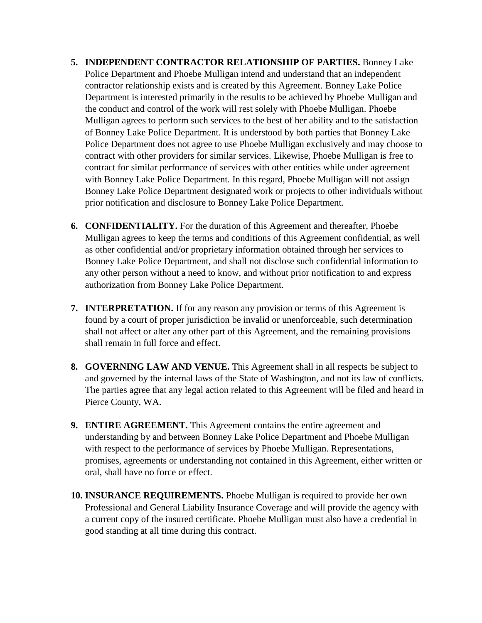- **5. INDEPENDENT CONTRACTOR RELATIONSHIP OF PARTIES.** Bonney Lake Police Department and Phoebe Mulligan intend and understand that an independent contractor relationship exists and is created by this Agreement. Bonney Lake Police Department is interested primarily in the results to be achieved by Phoebe Mulligan and the conduct and control of the work will rest solely with Phoebe Mulligan. Phoebe Mulligan agrees to perform such services to the best of her ability and to the satisfaction of Bonney Lake Police Department. It is understood by both parties that Bonney Lake Police Department does not agree to use Phoebe Mulligan exclusively and may choose to contract with other providers for similar services. Likewise, Phoebe Mulligan is free to contract for similar performance of services with other entities while under agreement with Bonney Lake Police Department. In this regard, Phoebe Mulligan will not assign Bonney Lake Police Department designated work or projects to other individuals without prior notification and disclosure to Bonney Lake Police Department.
- **6. CONFIDENTIALITY.** For the duration of this Agreement and thereafter, Phoebe Mulligan agrees to keep the terms and conditions of this Agreement confidential, as well as other confidential and/or proprietary information obtained through her services to Bonney Lake Police Department, and shall not disclose such confidential information to any other person without a need to know, and without prior notification to and express authorization from Bonney Lake Police Department.
- **7. INTERPRETATION.** If for any reason any provision or terms of this Agreement is found by a court of proper jurisdiction be invalid or unenforceable, such determination shall not affect or alter any other part of this Agreement, and the remaining provisions shall remain in full force and effect.
- **8. GOVERNING LAW AND VENUE.** This Agreement shall in all respects be subject to and governed by the internal laws of the State of Washington, and not its law of conflicts. The parties agree that any legal action related to this Agreement will be filed and heard in Pierce County, WA.
- **9. ENTIRE AGREEMENT.** This Agreement contains the entire agreement and understanding by and between Bonney Lake Police Department and Phoebe Mulligan with respect to the performance of services by Phoebe Mulligan. Representations, promises, agreements or understanding not contained in this Agreement, either written or oral, shall have no force or effect.
- **10. INSURANCE REQUIREMENTS.** Phoebe Mulligan is required to provide her own Professional and General Liability Insurance Coverage and will provide the agency with a current copy of the insured certificate. Phoebe Mulligan must also have a credential in good standing at all time during this contract.